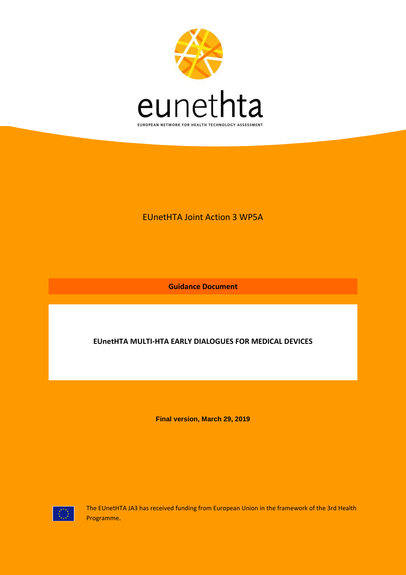

# EUnetHTA Joint Action 3 WP5A

**Guidance Document**

# **EUnetHTA MULTI-HTA EARLY DIALOGUES FOR MEDICAL DEVICES**

**Final version, March 29, 2019**



The EUnetHTA JA3 has received funding from European Union in the framework of the 3rd Health Programme.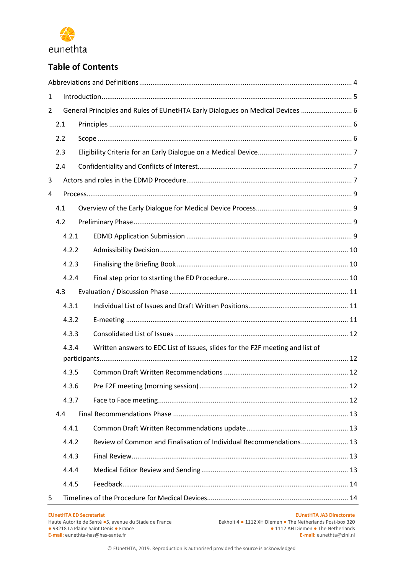

# **Table of Contents**

| 1              |                                                                                |  |                                                                               |  |  |  |  |
|----------------|--------------------------------------------------------------------------------|--|-------------------------------------------------------------------------------|--|--|--|--|
| $\overline{2}$ | General Principles and Rules of EUnetHTA Early Dialogues on Medical Devices  6 |  |                                                                               |  |  |  |  |
|                | 2.1                                                                            |  |                                                                               |  |  |  |  |
|                | 2.2                                                                            |  |                                                                               |  |  |  |  |
|                | 2.3                                                                            |  |                                                                               |  |  |  |  |
|                | 2.4                                                                            |  |                                                                               |  |  |  |  |
| 3              |                                                                                |  |                                                                               |  |  |  |  |
| 4              |                                                                                |  |                                                                               |  |  |  |  |
|                | 4.1                                                                            |  |                                                                               |  |  |  |  |
|                | 4.2                                                                            |  |                                                                               |  |  |  |  |
|                | 4.2.1                                                                          |  |                                                                               |  |  |  |  |
|                | 4.2.2                                                                          |  |                                                                               |  |  |  |  |
|                | 4.2.3                                                                          |  |                                                                               |  |  |  |  |
|                | 4.2.4                                                                          |  |                                                                               |  |  |  |  |
|                | 4.3                                                                            |  |                                                                               |  |  |  |  |
|                | 4.3.1                                                                          |  |                                                                               |  |  |  |  |
|                | 4.3.2                                                                          |  |                                                                               |  |  |  |  |
|                | 4.3.3                                                                          |  |                                                                               |  |  |  |  |
|                | 4.3.4                                                                          |  | Written answers to EDC List of Issues, slides for the F2F meeting and list of |  |  |  |  |
|                | 4.3.5                                                                          |  |                                                                               |  |  |  |  |
|                |                                                                                |  |                                                                               |  |  |  |  |
|                | 4.3.7                                                                          |  |                                                                               |  |  |  |  |
|                | 4.4                                                                            |  |                                                                               |  |  |  |  |
|                | 4.4.1                                                                          |  |                                                                               |  |  |  |  |
|                | 4.4.2                                                                          |  | Review of Common and Finalisation of Individual Recommendations 13            |  |  |  |  |
|                |                                                                                |  |                                                                               |  |  |  |  |
|                | 4.4.3<br>4.4.4                                                                 |  |                                                                               |  |  |  |  |
|                |                                                                                |  |                                                                               |  |  |  |  |
|                | 4.4.5                                                                          |  |                                                                               |  |  |  |  |
| 5              |                                                                                |  |                                                                               |  |  |  |  |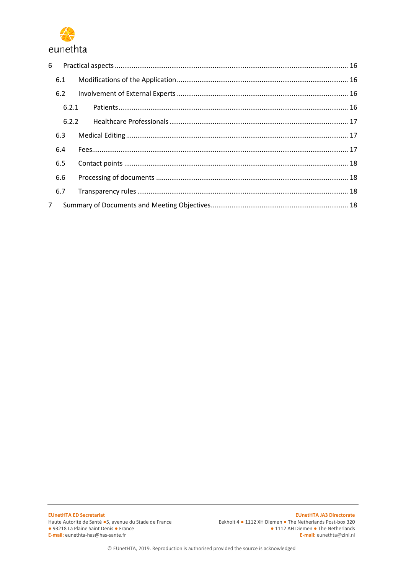

| 6 |             |  |
|---|-------------|--|
|   | 6.1         |  |
|   | 6.2         |  |
|   | 6.2.1       |  |
|   |             |  |
|   | 6.3         |  |
|   | 6.4         |  |
|   | 6.5         |  |
|   | 6.6         |  |
|   | 6.7         |  |
|   | $7^{\circ}$ |  |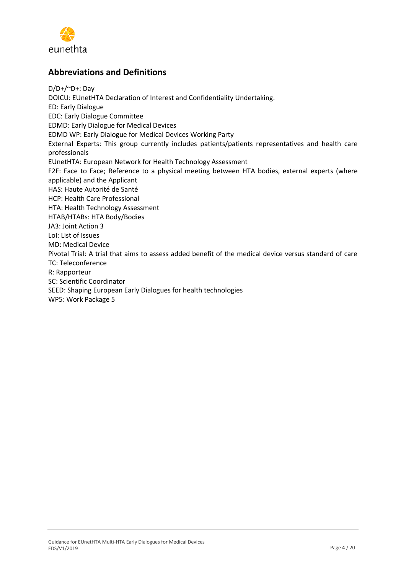

# <span id="page-3-0"></span>**Abbreviations and Definitions**

D/D+/~D+: Day DOICU: EUnetHTA Declaration of Interest and Confidentiality Undertaking. ED: Early Dialogue EDC: Early Dialogue Committee EDMD: Early Dialogue for Medical Devices EDMD WP: Early Dialogue for Medical Devices Working Party External Experts: This group currently includes patients/patients representatives and health care professionals EUnetHTA: European Network for Health Technology Assessment F2F: Face to Face; Reference to a physical meeting between HTA bodies, external experts (where applicable) and the Applicant HAS: Haute Autorité de Santé HCP: Health Care Professional HTA: Health Technology Assessment HTAB/HTABs: HTA Body/Bodies JA3: Joint Action 3 LoI: List of Issues MD: Medical Device Pivotal Trial: A trial that aims to assess added benefit of the medical device versus standard of care TC: Teleconference R: Rapporteur SC: Scientific Coordinator SEED: Shaping European Early Dialogues for health technologies WP5: Work Package 5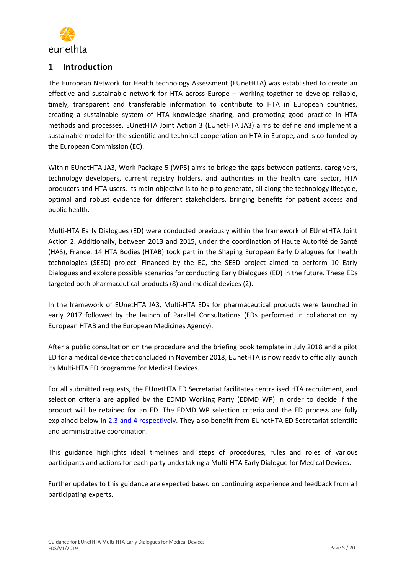

# <span id="page-4-0"></span>**1 Introduction**

The European Network for Health technology Assessment (EUnetHTA) was established to create an effective and sustainable network for HTA across Europe – working together to develop reliable, timely, transparent and transferable information to contribute to HTA in European countries, creating a sustainable system of HTA knowledge sharing, and promoting good practice in HTA methods and processes. EUnetHTA Joint Action 3 (EUnetHTA JA3) aims to define and implement a sustainable model for the scientific and technical cooperation on HTA in Europe, and is co-funded by the European Commission (EC).

Within EUnetHTA JA3, Work Package 5 (WP5) aims to bridge the gaps between patients, caregivers, technology developers, current registry holders, and authorities in the health care sector, HTA producers and HTA users. Its main objective is to help to generate, all along the technology lifecycle, optimal and robust evidence for different stakeholders, bringing benefits for patient access and public health.

Multi-HTA Early Dialogues (ED) were conducted previously within the framework of EUnetHTA Joint Action 2. Additionally, between 2013 and 2015, under the coordination of Haute Autorité de Santé (HAS), France, 14 HTA Bodies (HTAB) took part in the Shaping European Early Dialogues for health technologies (SEED) project. Financed by the EC, the SEED project aimed to perform 10 Early Dialogues and explore possible scenarios for conducting Early Dialogues (ED) in the future. These EDs targeted both pharmaceutical products (8) and medical devices (2).

In the framework of EUnetHTA JA3, Multi-HTA EDs for pharmaceutical products were launched in early 2017 followed by the launch of Parallel Consultations (EDs performed in collaboration by European HTAB and the European Medicines Agency).

After a public consultation on the procedure and the briefing book template in July 2018 and a pilot ED for a medical device that concluded in November 2018, EUnetHTA is now ready to officially launch its Multi-HTA ED programme for Medical Devices.

For all submitted requests, the EUnetHTA ED Secretariat facilitates centralised HTA recruitment, and selection criteria are applied by the EDMD Working Party (EDMD WP) in order to decide if the product will be retained for an ED. The EDMD WP selection criteria and the ED process are fully explained below in [2.3](#page-6-0) and [4](#page-8-0) respectively. They also benefit from EUnetHTA ED Secretariat scientific and administrative coordination.

This guidance highlights ideal timelines and steps of procedures, rules and roles of various participants and actions for each party undertaking a Multi-HTA Early Dialogue for Medical Devices.

Further updates to this guidance are expected based on continuing experience and feedback from all participating experts.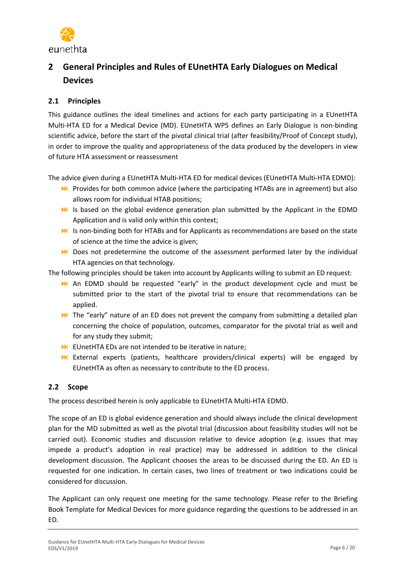

# <span id="page-5-0"></span>**2 General Principles and Rules of EUnetHTA Early Dialogues on Medical Devices**

# <span id="page-5-1"></span>**2.1 Principles**

This guidance outlines the ideal timelines and actions for each party participating in a EUnetHTA Multi-HTA ED for a Medical Device (MD). EUnetHTA WP5 defines an Early Dialogue is non-binding scientific advice, before the start of the pivotal clinical trial (after feasibility/Proof of Concept study), in order to improve the quality and appropriateness of the data produced by the developers in view of future HTA assessment or reassessment

The advice given during a EUnetHTA Multi-HTA ED for medical devices (EUnetHTA Multi-HTA EDMD):

- Provides for both common advice (where the participating HTABs are in agreement) but also allows room for individual HTAB positions;
- I Is based on the global evidence generation plan submitted by the Applicant in the EDMD Application and is valid only within this context;
- II Is non-binding both for HTABs and for Applicants as recommendations are based on the state of science at the time the advice is given;
- Does not predetermine the outcome of the assessment performed later by the individual HTA agencies on that technology.

The following principles should be taken into account by Applicants willing to submit an ED request:

- An EDMD should be requested "early" in the product development cycle and must be submitted prior to the start of the pivotal trial to ensure that recommendations can be applied.
- In The "early" nature of an ED does not prevent the company from submitting a detailed plan concerning the choice of population, outcomes, comparator for the pivotal trial as well and for any study they submit;
- EUnetHTA EDs are not intended to be iterative in nature;
- External experts (patients, healthcare providers/clinical experts) will be engaged by EUnetHTA as often as necessary to contribute to the ED process.

# <span id="page-5-2"></span>**2.2 Scope**

The process described herein is only applicable to EUnetHTA Multi-HTA EDMD.

The scope of an ED is global evidence generation and should always include the clinical development plan for the MD submitted as well as the pivotal trial (discussion about feasibility studies will not be carried out). Economic studies and discussion relative to device adoption (e.g. issues that may impede a product's adoption in real practice) may be addressed in addition to the clinical development discussion. The Applicant chooses the areas to be discussed during the ED. An ED is requested for one indication. In certain cases, two lines of treatment or two indications could be considered for discussion.

The Applicant can only request one meeting for the same technology. Please refer to the Briefing Book Template for Medical Devices for more guidance regarding the questions to be addressed in an ED.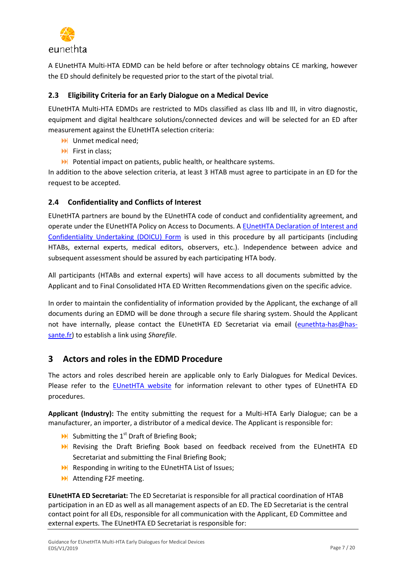

A EUnetHTA Multi-HTA EDMD can be held before or after technology obtains CE marking, however the ED should definitely be requested prior to the start of the pivotal trial.

# <span id="page-6-0"></span>**2.3 Eligibility Criteria for an Early Dialogue on a Medical Device**

EUnetHTA Multi-HTA EDMDs are restricted to MDs classified as class IIb and III, in vitro diagnostic, equipment and digital healthcare solutions/connected devices and will be selected for an ED after measurement against the EUnetHTA selection criteria:

- Unmet medical need;
- $\blacktriangleright$  First in class;
- **Potential impact on patients, public health, or healthcare systems.**

In addition to the above selection criteria, at least 3 HTAB must agree to participate in an ED for the request to be accepted.

# <span id="page-6-1"></span>**2.4 Confidentiality and Conflicts of Interest**

EUnetHTA partners are bound by the EUnetHTA code of conduct and confidentiality agreement, and operate under the EUnetHTA Policy on Access to Documents. A [EUnetHTA Declaration of Interest and](https://www.eunethta.eu/wp-content/uploads/2018/03/Declaration-of-Interest-and-Confidentiality-Undertaking-DOICU-Form-1.docx)  [Confidentiality Undertaking \(DOICU\) Form](https://www.eunethta.eu/wp-content/uploads/2018/03/Declaration-of-Interest-and-Confidentiality-Undertaking-DOICU-Form-1.docx) is used in this procedure by all participants (including HTABs, external experts, medical editors, observers, etc.). Independence between advice and subsequent assessment should be assured by each participating HTA body.

All participants (HTABs and external experts) will have access to all documents submitted by the Applicant and to Final Consolidated HTA ED Written Recommendations given on the specific advice.

In order to maintain the confidentiality of information provided by the Applicant, the exchange of all documents during an EDMD will be done through a secure file sharing system. Should the Applicant not have internally, please contact the EUnetHTA ED Secretariat via email [\(eunethta-has@has](mailto:eunethta-has@has-sante.fr)[sante.fr\)](mailto:eunethta-has@has-sante.fr) to establish a link using *Sharefile*.

# <span id="page-6-2"></span>**3 Actors and roles in the EDMD Procedure**

The actors and roles described herein are applicable only to Early Dialogues for Medical Devices. Please refer to the [EUnetHTA website](https://eunethta.eu/) for information relevant to other types of EUnetHTA ED procedures.

**Applicant (Industry):** The entity submitting the request for a Multi-HTA Early Dialogue; can be a manufacturer, an importer, a distributor of a medical device. The Applicant is responsible for:

- $\blacktriangleright$  Submitting the 1<sup>st</sup> Draft of Briefing Book;
- Revising the Draft Briefing Book based on feedback received from the EUnetHTA ED Secretariat and submitting the Final Briefing Book;
- **M** Responding in writing to the EUnetHTA List of Issues;
- **Attending F2F meeting.**

**EUnetHTA ED Secretariat:** The ED Secretariat is responsible for all practical coordination of HTAB participation in an ED as well as all management aspects of an ED. The ED Secretariat is the central contact point for all EDs, responsible for all communication with the Applicant, ED Committee and external experts. The EUnetHTA ED Secretariat is responsible for: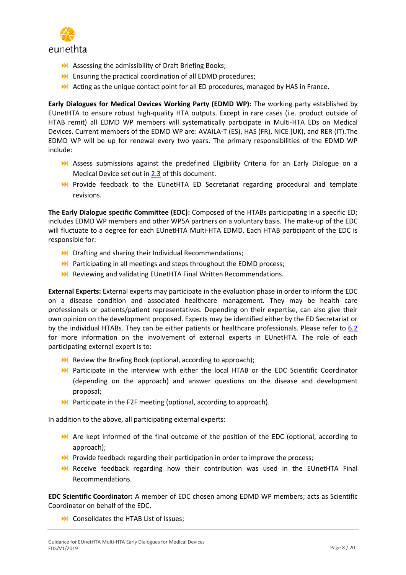

- **Assessing the admissibility of Draft Briefing Books;**
- **Ensuring the practical coordination of all EDMD procedures;**
- Acting as the unique contact point for all ED procedures, managed by HAS in France.

**Early Dialogues for Medical Devices Working Party (EDMD WP):** The working party established by EUnetHTA to ensure robust high-quality HTA outputs. Except in rare cases (i.e. product outside of HTAB remit) all EDMD WP members will systematically participate in Multi-HTA EDs on Medical Devices. Current members of the EDMD WP are: AVAILA-T (ES), HAS (FR), NICE (UK), and RER (IT).The EDMD WP will be up for renewal every two years. The primary responsibilities of the EDMD WP include:

- Assess submissions against the predefined Eligibility Criteria for an Early Dialogue on a Medical Device set out in [2.3](#page-6-0) of this document.
- Provide feedback to the EUnetHTA ED Secretariat regarding procedural and template revisions.

**The Early Dialogue specific Committee (EDC):** Composed of the HTABs participating in a specific ED; includes EDMD WP members and other WP5A partners on a voluntary basis. The make-up of the EDC will fluctuate to a degree for each EUnetHTA Multi-HTA EDMD. Each HTAB participant of the EDC is responsible for:

- Departing and sharing their Individual Recommendations;
- **PH** Participating in all meetings and steps throughout the EDMD process;
- Reviewing and validating EUnetHTA Final Written Recommendations.

**External Experts:** External experts may participate in the evaluation phase in order to inform the EDC on a disease condition and associated healthcare management. They may be health care professionals or patients/patient representatives. Depending on their expertise, can also give their own opinion on the development proposed. Experts may be identified either by the ED Secretariat or by the individual HTABs. They can be either patients or healthcare professionals. Please refer to [6.2](#page-15-2) for more information on the involvement of external experts in EUnetHTA. The role of each participating external expert is to:

- **EXECUTE:** Review the Briefing Book (optional, according to approach);
- Participate in the interview with either the local HTAB or the EDC Scientific Coordinator (depending on the approach) and answer questions on the disease and development proposal;
- **Participate in the F2F meeting (optional, according to approach).**

In addition to the above, all participating external experts:

- Are kept informed of the final outcome of the position of the EDC (optional, according to approach);
- **PPI** Provide feedback regarding their participation in order to improve the process;
- Receive feedback regarding how their contribution was used in the EUnetHTA Final Recommendations.

**EDC Scientific Coordinator:** A member of EDC chosen among EDMD WP members; acts as Scientific Coordinator on behalf of the EDC.

**DE Consolidates the HTAB List of Issues;**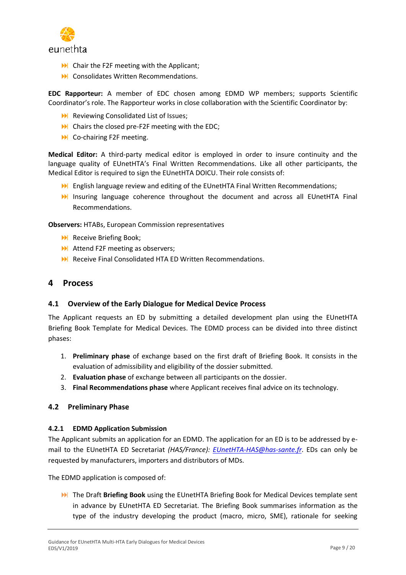

- **M** Chair the F2F meeting with the Applicant;
- **N** Consolidates Written Recommendations.

**EDC Rapporteur:** A member of EDC chosen among EDMD WP members; supports Scientific Coordinator's role. The Rapporteur works in close collaboration with the Scientific Coordinator by:

- **N** Reviewing Consolidated List of Issues;
- **DE** Chairs the closed pre-F2F meeting with the EDC;
- **N** Co-chairing F2F meeting.

**Medical Editor:** A third-party medical editor is employed in order to insure continuity and the language quality of EUnetHTA's Final Written Recommendations. Like all other participants, the Medical Editor is required to sign the EUnetHTA DOICU. Their role consists of:

- English language review and editing of the EUnetHTA Final Written Recommendations;
- Insuring language coherence throughout the document and across all EUnetHTA Final Recommendations.

**Observers:** HTABs, European Commission representatives

- **N** Receive Briefing Book:
- **Attend F2F meeting as observers;**
- Receive Final Consolidated HTA ED Written Recommendations.

# <span id="page-8-0"></span>**4 Process**

#### <span id="page-8-1"></span>**4.1 Overview of the Early Dialogue for Medical Device Process**

The Applicant requests an ED by submitting a detailed development plan using the EUnetHTA Briefing Book Template for Medical Devices. The EDMD process can be divided into three distinct phases:

- 1. **Preliminary phase** of exchange based on the first draft of Briefing Book. It consists in the evaluation of admissibility and eligibility of the dossier submitted.
- 2. **Evaluation phase** of exchange between all participants on the dossier.
- 3. **Final Recommendations phase** where Applicant receives final advice on its technology.

#### <span id="page-8-2"></span>**4.2 Preliminary Phase**

#### <span id="page-8-3"></span>**4.2.1 EDMD Application Submission**

The Applicant submits an application for an EDMD. The application for an ED is to be addressed by email to the EUnetHTA ED Secretariat *(HAS/France): [EUnetHTA-HAS@has-sante.fr](mailto:EUnetHTA-HAS@has-sante.fr)*. EDs can only be requested by manufacturers, importers and distributors of MDs.

The EDMD application is composed of:

**N** The Draft Briefing Book using the EUnetHTA Briefing Book for Medical Devices template sent in advance by EUnetHTA ED Secretariat. The Briefing Book summarises information as the type of the industry developing the product (macro, micro, SME), rationale for seeking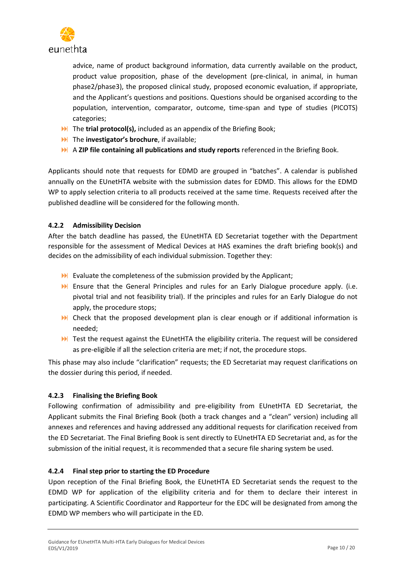

advice, name of product background information, data currently available on the product, product value proposition, phase of the development (pre-clinical, in animal, in human phase2/phase3), the proposed clinical study, proposed economic evaluation, if appropriate, and the Applicant's questions and positions. Questions should be organised according to the population, intervention, comparator, outcome, time-span and type of studies (PICOTS) categories;

- **M** The trial protocol(s), included as an appendix of the Briefing Book;
- **N** The **investigator's brochure**, if available:
- A **ZIP file containing all publications and study reports** referenced in the Briefing Book.

Applicants should note that requests for EDMD are grouped in "batches". A calendar is published annually on the EUnetHTA website with the submission dates for EDMD. This allows for the EDMD WP to apply selection criteria to all products received at the same time. Requests received after the published deadline will be considered for the following month.

# <span id="page-9-0"></span>**4.2.2 Admissibility Decision**

After the batch deadline has passed, the EUnetHTA ED Secretariat together with the Department responsible for the assessment of Medical Devices at HAS examines the draft briefing book(s) and decides on the admissibility of each individual submission. Together they:

- **Evaluate the completeness of the submission provided by the Applicant;**
- Ensure that the General Principles and rules for an Early Dialogue procedure apply. (i.e. pivotal trial and not feasibility trial). If the principles and rules for an Early Dialogue do not apply, the procedure stops;
- Check that the proposed development plan is clear enough or if additional information is needed;
- Test the request against the EUnetHTA the eligibility criteria. The request will be considered as pre-eligible if all the selection criteria are met; if not, the procedure stops.

This phase may also include "clarification" requests; the ED Secretariat may request clarifications on the dossier during this period, if needed.

# <span id="page-9-1"></span>**4.2.3 Finalising the Briefing Book**

Following confirmation of admissibility and pre-eligibility from EUnetHTA ED Secretariat, the Applicant submits the Final Briefing Book (both a track changes and a "clean" version) including all annexes and references and having addressed any additional requests for clarification received from the ED Secretariat. The Final Briefing Book is sent directly to EUnetHTA ED Secretariat and, as for the submission of the initial request, it is recommended that a secure file sharing system be used.

# <span id="page-9-2"></span>**4.2.4 Final step prior to starting the ED Procedure**

Upon reception of the Final Briefing Book, the EUnetHTA ED Secretariat sends the request to the EDMD WP for application of the eligibility criteria and for them to declare their interest in participating. A Scientific Coordinator and Rapporteur for the EDC will be designated from among the EDMD WP members who will participate in the ED.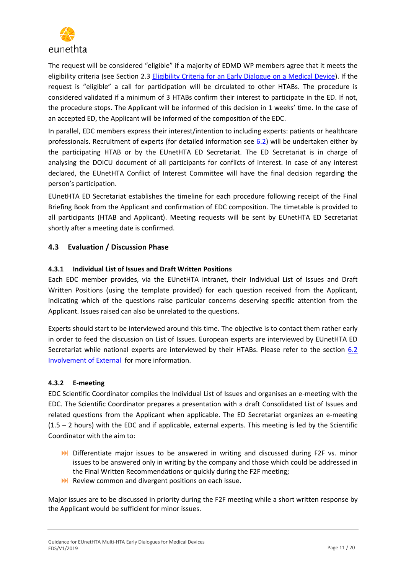

The request will be considered "eligible" if a majority of EDMD WP members agree that it meets the eligibility criteria (see Section 2.3 [Eligibility Criteria for an Early Dialogue on a Medical Device\)](#page-6-0). If the request is "eligible" a call for participation will be circulated to other HTABs. The procedure is considered validated if a minimum of 3 HTABs confirm their interest to participate in the ED. If not, the procedure stops. The Applicant will be informed of this decision in 1 weeks' time. In the case of an accepted ED, the Applicant will be informed of the composition of the EDC.

In parallel, EDC members express their interest/intention to including experts: patients or healthcare professionals. Recruitment of experts (for detailed information see [6.2\)](#page-15-2) will be undertaken either by the participating HTAB or by the EUnetHTA ED Secretariat. The ED Secretariat is in charge of analysing the DOICU document of all participants for conflicts of interest. In case of any interest declared, the EUnetHTA Conflict of Interest Committee will have the final decision regarding the person's participation.

EUnetHTA ED Secretariat establishes the timeline for each procedure following receipt of the Final Briefing Book from the Applicant and confirmation of EDC composition. The timetable is provided to all participants (HTAB and Applicant). Meeting requests will be sent by EUnetHTA ED Secretariat shortly after a meeting date is confirmed.

# <span id="page-10-0"></span>**4.3 Evaluation / Discussion Phase**

# <span id="page-10-1"></span>**4.3.1 Individual List of Issues and Draft Written Positions**

Each EDC member provides, via the EUnetHTA intranet, their Individual List of Issues and Draft Written Positions (using the template provided) for each question received from the Applicant, indicating which of the questions raise particular concerns deserving specific attention from the Applicant. Issues raised can also be unrelated to the questions.

Experts should start to be interviewed around this time. The objective is to contact them rather early in order to feed the discussion on List of Issues. European experts are interviewed by EUnetHTA ED Secretariat while national experts are interviewed by their HTABs. Please refer to the section [6.2](#page-15-2) [Involvement of External](#page-15-2) for more information.

# <span id="page-10-2"></span>**4.3.2 E-meeting**

EDC Scientific Coordinator compiles the Individual List of Issues and organises an e-meeting with the EDC. The Scientific Coordinator prepares a presentation with a draft Consolidated List of Issues and related questions from the Applicant when applicable. The ED Secretariat organizes an e-meeting (1.5 – 2 hours) with the EDC and if applicable, external experts. This meeting is led by the Scientific Coordinator with the aim to:

- Differentiate major issues to be answered in writing and discussed during F2F vs. minor issues to be answered only in writing by the company and those which could be addressed in the Final Written Recommendations or quickly during the F2F meeting;
- **M** Review common and divergent positions on each issue.

Major issues are to be discussed in priority during the F2F meeting while a short written response by the Applicant would be sufficient for minor issues.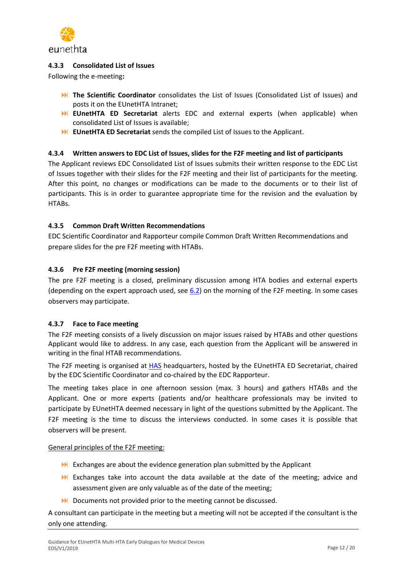

# <span id="page-11-0"></span>**4.3.3 Consolidated List of Issues**

Following the e-meeting**:** 

- **The Scientific Coordinator** consolidates the List of Issues (Consolidated List of Issues) and posts it on the EUnetHTA Intranet;
- **EUnetHTA ED Secretariat** alerts EDC and external experts (when applicable) when consolidated List of Issues is available;
- **EUnetHTA ED Secretariat** sends the compiled List of Issues to the Applicant.

# <span id="page-11-1"></span>**4.3.4 Written answers to EDC List of Issues, slides for the F2F meeting and list of participants**

The Applicant reviews EDC Consolidated List of Issues submits their written response to the EDC List of Issues together with their slides for the F2F meeting and their list of participants for the meeting. After this point, no changes or modifications can be made to the documents or to their list of participants. This is in order to guarantee appropriate time for the revision and the evaluation by HTABs.

# <span id="page-11-2"></span>**4.3.5 Common Draft Written Recommendations**

EDC Scientific Coordinator and Rapporteur compile Common Draft Written Recommendations and prepare slides for the pre F2F meeting with HTABs.

#### <span id="page-11-3"></span>**4.3.6 Pre F2F meeting (morning session)**

The pre F2F meeting is a closed, preliminary discussion among HTA bodies and external experts (depending on the expert approach used, see [6.2\)](#page-15-2) on the morning of the F2F meeting. In some cases observers may participate.

#### <span id="page-11-4"></span>**4.3.7 Face to Face meeting**

The F2F meeting consists of a lively discussion on major issues raised by HTABs and other questions Applicant would like to address. In any case, each question from the Applicant will be answered in writing in the final HTAB recommendations.

The F2F meeting is organised at [HAS](https://www.has-sante.fr/portail/jcms/c_432678/fr/contacts) headquarters, hosted by the EUnetHTA ED Secretariat, chaired by the EDC Scientific Coordinator and co-chaired by the EDC Rapporteur.

The meeting takes place in one afternoon session (max. 3 hours) and gathers HTABs and the Applicant. One or more experts (patients and/or healthcare professionals may be invited to participate by EUnetHTA deemed necessary in light of the questions submitted by the Applicant. The F2F meeting is the time to discuss the interviews conducted. In some cases it is possible that observers will be present.

#### General principles of the F2F meeting:

- **Exchanges are about the evidence generation plan submitted by the Applicant**
- Exchanges take into account the data available at the date of the meeting; advice and assessment given are only valuable as of the date of the meeting;
- Documents not provided prior to the meeting cannot be discussed.

A consultant can participate in the meeting but a meeting will not be accepted if the consultant is the only one attending.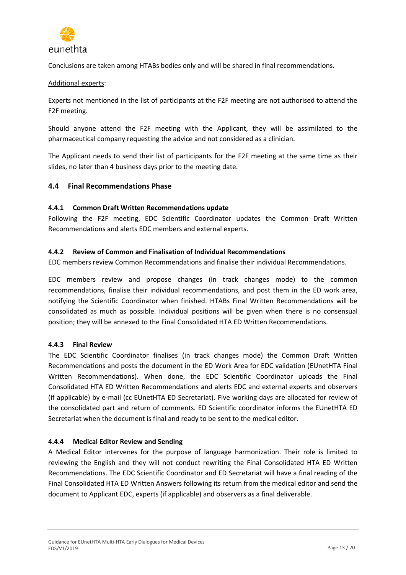

Conclusions are taken among HTABs bodies only and will be shared in final recommendations.

#### Additional experts:

Experts not mentioned in the list of participants at the F2F meeting are not authorised to attend the F2F meeting.

Should anyone attend the F2F meeting with the Applicant, they will be assimilated to the pharmaceutical company requesting the advice and not considered as a clinician.

The Applicant needs to send their list of participants for the F2F meeting at the same time as their slides, no later than 4 business days prior to the meeting date.

#### <span id="page-12-0"></span>**4.4 Final Recommendations Phase**

#### <span id="page-12-1"></span>**4.4.1 Common Draft Written Recommendations update**

Following the F2F meeting, EDC Scientific Coordinator updates the Common Draft Written Recommendations and alerts EDC members and external experts.

#### <span id="page-12-2"></span>**4.4.2 Review of Common and Finalisation of Individual Recommendations**

EDC members review Common Recommendations and finalise their individual Recommendations.

EDC members review and propose changes (in track changes mode) to the common recommendations, finalise their individual recommendations, and post them in the ED work area, notifying the Scientific Coordinator when finished. HTABs Final Written Recommendations will be consolidated as much as possible. Individual positions will be given when there is no consensual position; they will be annexed to the Final Consolidated HTA ED Written Recommendations.

#### <span id="page-12-3"></span>**4.4.3 Final Review**

The EDC Scientific Coordinator finalises (in track changes mode) the Common Draft Written Recommendations and posts the document in the ED Work Area for EDC validation (EUnetHTA Final Written Recommendations). When done, the EDC Scientific Coordinator uploads the Final Consolidated HTA ED Written Recommendations and alerts EDC and external experts and observers (if applicable) by e-mail (cc EUnetHTA ED Secretariat). Five working days are allocated for review of the consolidated part and return of comments. ED Scientific coordinator informs the EUnetHTA ED Secretariat when the document is final and ready to be sent to the medical editor.

#### <span id="page-12-4"></span>**4.4.4 Medical Editor Review and Sending**

A Medical Editor intervenes for the purpose of language harmonization. Their role is limited to reviewing the English and they will not conduct rewriting the Final Consolidated HTA ED Written Recommendations. The EDC Scientific Coordinator and ED Secretariat will have a final reading of the Final Consolidated HTA ED Written Answers following its return from the medical editor and send the document to Applicant EDC, experts (if applicable) and observers as a final deliverable.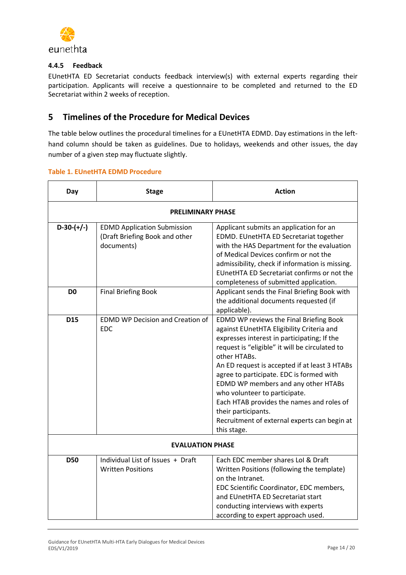

# <span id="page-13-0"></span>**4.4.5 Feedback**

EUnetHTA ED Secretariat conducts feedback interview(s) with external experts regarding their participation. Applicants will receive a questionnaire to be completed and returned to the ED Secretariat within 2 weeks of reception.

# <span id="page-13-1"></span>**5 Timelines of the Procedure for Medical Devices**

The table below outlines the procedural timelines for a EUnetHTA EDMD. Day estimations in the lefthand column should be taken as guidelines. Due to holidays, weekends and other issues, the day number of a given step may fluctuate slightly.

#### **Table 1. EUnetHTA EDMD Procedure**

| Day                      | <b>Stage</b>                                                                       | <b>Action</b>                                                                                                                                                                                                                                                                                                                                                                                                                                                                                                 |  |  |  |  |
|--------------------------|------------------------------------------------------------------------------------|---------------------------------------------------------------------------------------------------------------------------------------------------------------------------------------------------------------------------------------------------------------------------------------------------------------------------------------------------------------------------------------------------------------------------------------------------------------------------------------------------------------|--|--|--|--|
| <b>PRELIMINARY PHASE</b> |                                                                                    |                                                                                                                                                                                                                                                                                                                                                                                                                                                                                                               |  |  |  |  |
| $D-30-(+/-)$             | <b>EDMD Application Submission</b><br>(Draft Briefing Book and other<br>documents) | Applicant submits an application for an<br>EDMD. EUnetHTA ED Secretariat together<br>with the HAS Department for the evaluation<br>of Medical Devices confirm or not the<br>admissibility, check if information is missing.<br>EUnetHTA ED Secretariat confirms or not the<br>completeness of submitted application.                                                                                                                                                                                          |  |  |  |  |
| D <sub>0</sub>           | <b>Final Briefing Book</b>                                                         | Applicant sends the Final Briefing Book with<br>the additional documents requested (if<br>applicable).                                                                                                                                                                                                                                                                                                                                                                                                        |  |  |  |  |
| <b>D15</b>               | <b>EDMD WP Decision and Creation of</b><br><b>EDC</b>                              | EDMD WP reviews the Final Briefing Book<br>against EUnetHTA Eligibility Criteria and<br>expresses interest in participating; If the<br>request is "eligible" it will be circulated to<br>other HTABs.<br>An ED request is accepted if at least 3 HTABs<br>agree to participate. EDC is formed with<br>EDMD WP members and any other HTABs<br>who volunteer to participate.<br>Each HTAB provides the names and roles of<br>their participants.<br>Recruitment of external experts can begin at<br>this stage. |  |  |  |  |
|                          | <b>EVALUATION PHASE</b>                                                            |                                                                                                                                                                                                                                                                                                                                                                                                                                                                                                               |  |  |  |  |
| <b>D50</b>               | Individual List of Issues + Draft<br><b>Written Positions</b>                      | Each EDC member shares Lol & Draft<br>Written Positions (following the template)<br>on the Intranet.<br>EDC Scientific Coordinator, EDC members,<br>and EUnetHTA ED Secretariat start<br>conducting interviews with experts<br>according to expert approach used.                                                                                                                                                                                                                                             |  |  |  |  |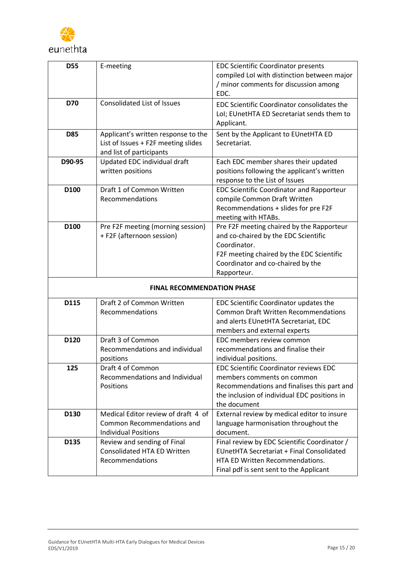

| <b>D55</b> | E-meeting                                                                                               | <b>EDC Scientific Coordinator presents</b><br>compiled LoI with distinction between major                                                                                                          |  |
|------------|---------------------------------------------------------------------------------------------------------|----------------------------------------------------------------------------------------------------------------------------------------------------------------------------------------------------|--|
|            |                                                                                                         | / minor comments for discussion among<br>EDC.                                                                                                                                                      |  |
| D70        | <b>Consolidated List of Issues</b>                                                                      | EDC Scientific Coordinator consolidates the<br>LoI; EUnetHTA ED Secretariat sends them to<br>Applicant.                                                                                            |  |
| D85        | Applicant's written response to the<br>List of Issues + F2F meeting slides<br>and list of participants  | Sent by the Applicant to EUnetHTA ED<br>Secretariat.                                                                                                                                               |  |
| D90-95     | Updated EDC individual draft<br>written positions                                                       | Each EDC member shares their updated<br>positions following the applicant's written<br>response to the List of Issues                                                                              |  |
| D100       | Draft 1 of Common Written<br>Recommendations                                                            | <b>EDC Scientific Coordinator and Rapporteur</b><br>compile Common Draft Written<br>Recommendations + slides for pre F2F<br>meeting with HTABs.                                                    |  |
| D100       | Pre F2F meeting (morning session)<br>+ F2F (afternoon session)                                          | Pre F2F meeting chaired by the Rapporteur<br>and co-chaired by the EDC Scientific<br>Coordinator.<br>F2F meeting chaired by the EDC Scientific<br>Coordinator and co-chaired by the<br>Rapporteur. |  |
|            | <b>FINAL RECOMMENDATION PHASE</b>                                                                       |                                                                                                                                                                                                    |  |
| D115       | Draft 2 of Common Written<br>Recommendations                                                            | EDC Scientific Coordinator updates the<br><b>Common Draft Written Recommendations</b><br>and alerts EUnetHTA Secretariat, EDC<br>members and external experts                                      |  |
| D120       | Draft 3 of Common<br>Recommendations and individual<br>positions                                        | EDC members review common<br>recommendations and finalise their<br>individual positions.                                                                                                           |  |
| 125        | Draft 4 of Common<br>Recommendations and Individual<br>Positions                                        | <b>EDC Scientific Coordinator reviews EDC</b><br>members comments on common<br>Recommendations and finalises this part and<br>the inclusion of individual EDC positions in<br>the document         |  |
| D130       | Medical Editor review of draft 4 of<br><b>Common Recommendations and</b><br><b>Individual Positions</b> | External review by medical editor to insure<br>language harmonisation throughout the<br>document.                                                                                                  |  |
| D135       | Review and sending of Final<br><b>Consolidated HTA ED Written</b><br>Recommendations                    | Final review by EDC Scientific Coordinator /<br><b>EUnetHTA Secretariat + Final Consolidated</b><br>HTA ED Written Recommendations.<br>Final pdf is sent sent to the Applicant                     |  |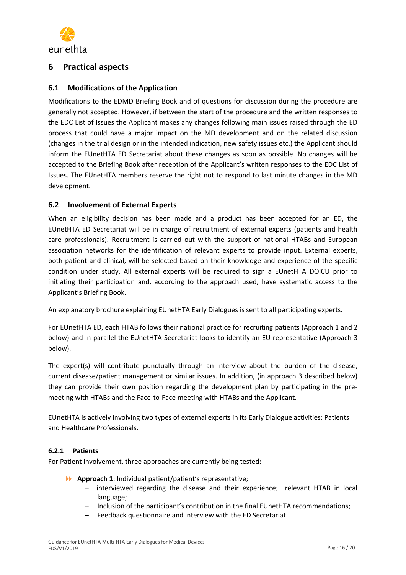

# <span id="page-15-0"></span>**6 Practical aspects**

# <span id="page-15-1"></span>**6.1 Modifications of the Application**

Modifications to the EDMD Briefing Book and of questions for discussion during the procedure are generally not accepted. However, if between the start of the procedure and the written responses to the EDC List of Issues the Applicant makes any changes following main issues raised through the ED process that could have a major impact on the MD development and on the related discussion (changes in the trial design or in the intended indication, new safety issues etc.) the Applicant should inform the EUnetHTA ED Secretariat about these changes as soon as possible. No changes will be accepted to the Briefing Book after reception of the Applicant's written responses to the EDC List of Issues. The EUnetHTA members reserve the right not to respond to last minute changes in the MD development.

# <span id="page-15-2"></span>**6.2 Involvement of External Experts**

When an eligibility decision has been made and a product has been accepted for an ED, the EUnetHTA ED Secretariat will be in charge of recruitment of external experts (patients and health care professionals). Recruitment is carried out with the support of national HTABs and European association networks for the identification of relevant experts to provide input. External experts, both patient and clinical, will be selected based on their knowledge and experience of the specific condition under study. All external experts will be required to sign a EUnetHTA DOICU prior to initiating their participation and, according to the approach used, have systematic access to the Applicant's Briefing Book.

An explanatory brochure explaining EUnetHTA Early Dialogues is sent to all participating experts.

For EUnetHTA ED, each HTAB follows their national practice for recruiting patients (Approach 1 and 2 below) and in parallel the EUnetHTA Secretariat looks to identify an EU representative (Approach 3 below).

The expert(s) will contribute punctually through an interview about the burden of the disease, current disease/patient management or similar issues. In addition, (in approach 3 described below) they can provide their own position regarding the development plan by participating in the premeeting with HTABs and the Face-to-Face meeting with HTABs and the Applicant.

EUnetHTA is actively involving two types of external experts in its Early Dialogue activities: Patients and Healthcare Professionals.

# <span id="page-15-3"></span>**6.2.1 Patients**

For Patient involvement, three approaches are currently being tested:

- **Approach 1**: Individual patient/patient's representative;
	- ‒ interviewed regarding the disease and their experience; relevant HTAB in local language;
	- ‒ Inclusion of the participant's contribution in the final EUnetHTA recommendations;
	- ‒ Feedback questionnaire and interview with the ED Secretariat.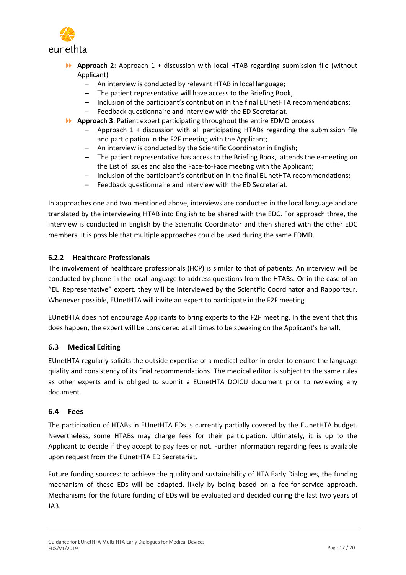

- **Approach 2**: Approach 1 + discussion with local HTAB regarding submission file (without Applicant)
	- An interview is conducted by relevant HTAB in local language;
	- The patient representative will have access to the Briefing Book;
	- ‒ Inclusion of the participant's contribution in the final EUnetHTA recommendations;
	- ‒ Feedback questionnaire and interview with the ED Secretariat.
- **Approach 3**: Patient expert participating throughout the entire EDMD process
	- Approach  $1 +$  discussion with all participating HTABs regarding the submission file and participation in the F2F meeting with the Applicant;
	- An interview is conducted by the Scientific Coordinator in English;
	- The patient representative has access to the Briefing Book, attends the e-meeting on the List of Issues and also the Face-to-Face meeting with the Applicant;
	- ‒ Inclusion of the participant's contribution in the final EUnetHTA recommendations;
	- ‒ Feedback questionnaire and interview with the ED Secretariat.

In approaches one and two mentioned above, interviews are conducted in the local language and are translated by the interviewing HTAB into English to be shared with the EDC. For approach three, the interview is conducted in English by the Scientific Coordinator and then shared with the other EDC members. It is possible that multiple approaches could be used during the same EDMD.

# <span id="page-16-0"></span>**6.2.2 Healthcare Professionals**

The involvement of healthcare professionals (HCP) is similar to that of patients. An interview will be conducted by phone in the local language to address questions from the HTABs. Or in the case of an "EU Representative" expert, they will be interviewed by the Scientific Coordinator and Rapporteur. Whenever possible, EUnetHTA will invite an expert to participate in the F2F meeting.

EUnetHTA does not encourage Applicants to bring experts to the F2F meeting. In the event that this does happen, the expert will be considered at all times to be speaking on the Applicant's behalf.

# <span id="page-16-1"></span>**6.3 Medical Editing**

EUnetHTA regularly solicits the outside expertise of a medical editor in order to ensure the language quality and consistency of its final recommendations. The medical editor is subject to the same rules as other experts and is obliged to submit a EUnetHTA DOICU document prior to reviewing any document.

# <span id="page-16-2"></span>**6.4 Fees**

The participation of HTABs in EUnetHTA EDs is currently partially covered by the EUnetHTA budget. Nevertheless, some HTABs may charge fees for their participation. Ultimately, it is up to the Applicant to decide if they accept to pay fees or not. Further information regarding fees is available upon request from the EUnetHTA ED Secretariat.

Future funding sources: to achieve the quality and sustainability of HTA Early Dialogues, the funding mechanism of these EDs will be adapted, likely by being based on a fee-for-service approach. Mechanisms for the future funding of EDs will be evaluated and decided during the last two years of JA3.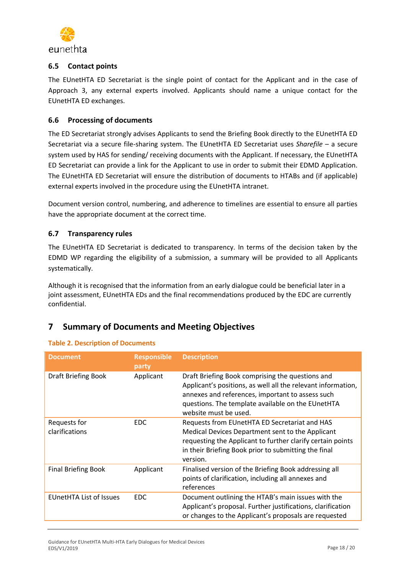

# <span id="page-17-0"></span>**6.5 Contact points**

The EUnetHTA ED Secretariat is the single point of contact for the Applicant and in the case of Approach 3, any external experts involved. Applicants should name a unique contact for the EUnetHTA ED exchanges.

# <span id="page-17-1"></span>**6.6 Processing of documents**

The ED Secretariat strongly advises Applicants to send the Briefing Book directly to the EUnetHTA ED Secretariat via a secure file-sharing system. The EUnetHTA ED Secretariat uses *Sharefile* – a secure system used by HAS for sending/ receiving documents with the Applicant. If necessary, the EUnetHTA ED Secretariat can provide a link for the Applicant to use in order to submit their EDMD Application. The EUnetHTA ED Secretariat will ensure the distribution of documents to HTABs and (if applicable) external experts involved in the procedure using the EUnetHTA intranet.

Document version control, numbering, and adherence to timelines are essential to ensure all parties have the appropriate document at the correct time.

# <span id="page-17-2"></span>**6.7 Transparency rules**

The EUnetHTA ED Secretariat is dedicated to transparency. In terms of the decision taken by the EDMD WP regarding the eligibility of a submission, a summary will be provided to all Applicants systematically.

Although it is recognised that the information from an early dialogue could be beneficial later in a joint assessment, EUnetHTA EDs and the final recommendations produced by the EDC are currently confidential.

# <span id="page-17-3"></span>**7 Summary of Documents and Meeting Objectives**

| <b>Document</b>                | <b>Responsible</b><br>party | <b>Description</b>                                                                                                                                                                                                                                 |
|--------------------------------|-----------------------------|----------------------------------------------------------------------------------------------------------------------------------------------------------------------------------------------------------------------------------------------------|
| Draft Briefing Book            | Applicant                   | Draft Briefing Book comprising the questions and<br>Applicant's positions, as well all the relevant information,<br>annexes and references, important to assess such<br>questions. The template available on the EUnetHTA<br>website must be used. |
| Requests for<br>clarifications | <b>EDC</b>                  | Requests from EUnetHTA ED Secretariat and HAS<br>Medical Devices Department sent to the Applicant<br>requesting the Applicant to further clarify certain points<br>in their Briefing Book prior to submitting the final<br>version.                |
| <b>Final Briefing Book</b>     | Applicant                   | Finalised version of the Briefing Book addressing all<br>points of clarification, including all annexes and<br>references                                                                                                                          |
| <b>EUnetHTA List of Issues</b> | <b>EDC</b>                  | Document outlining the HTAB's main issues with the<br>Applicant's proposal. Further justifications, clarification<br>or changes to the Applicant's proposals are requested                                                                         |

# **Table 2. Description of Documents**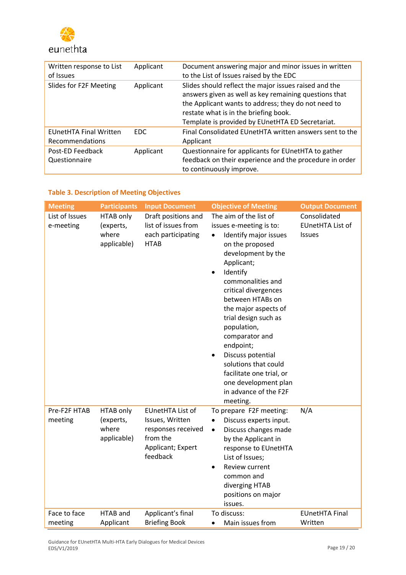

| Written response to List<br>of Issues            | Applicant | Document answering major and minor issues in written<br>to the List of Issues raised by the EDC                                                                                                                                                                    |
|--------------------------------------------------|-----------|--------------------------------------------------------------------------------------------------------------------------------------------------------------------------------------------------------------------------------------------------------------------|
| Slides for F2F Meeting                           | Applicant | Slides should reflect the major issues raised and the<br>answers given as well as key remaining questions that<br>the Applicant wants to address; they do not need to<br>restate what is in the briefing book.<br>Template is provided by EUnetHTA ED Secretariat. |
| <b>EUnetHTA Final Written</b><br>Recommendations | FDC.      | Final Consolidated EUnetHTA written answers sent to the<br>Applicant                                                                                                                                                                                               |
| Post-ED Feedback<br>Questionnaire                | Applicant | Questionnaire for applicants for EUnetHTA to gather<br>feedback on their experience and the procedure in order<br>to continuously improve.                                                                                                                         |

# **Table 3. Description of Meeting Objectives**

| <b>Meeting</b>              | <b>Participants</b>                            | <b>Input Document</b>                                                                                         | <b>Objective of Meeting</b>                                                                                                                                                                                                                                                                                                                                                                                                                                                  | <b>Output Document</b>                            |
|-----------------------------|------------------------------------------------|---------------------------------------------------------------------------------------------------------------|------------------------------------------------------------------------------------------------------------------------------------------------------------------------------------------------------------------------------------------------------------------------------------------------------------------------------------------------------------------------------------------------------------------------------------------------------------------------------|---------------------------------------------------|
| List of Issues<br>e-meeting | HTAB only<br>(experts,<br>where<br>applicable) | Draft positions and<br>list of issues from<br>each participating<br><b>HTAB</b>                               | The aim of the list of<br>issues e-meeting is to:<br>Identify major issues<br>on the proposed<br>development by the<br>Applicant;<br>Identify<br>$\bullet$<br>commonalities and<br>critical divergences<br>between HTABs on<br>the major aspects of<br>trial design such as<br>population,<br>comparator and<br>endpoint;<br>Discuss potential<br>$\bullet$<br>solutions that could<br>facilitate one trial, or<br>one development plan<br>in advance of the F2F<br>meeting. | Consolidated<br><b>EUnetHTA List of</b><br>Issues |
| Pre-F2F HTAB<br>meeting     | HTAB only<br>(experts,<br>where<br>applicable) | <b>EUnetHTA List of</b><br>Issues, Written<br>responses received<br>from the<br>Applicant; Expert<br>feedback | To prepare F2F meeting:<br>Discuss experts input.<br>$\bullet$<br>Discuss changes made<br>$\bullet$<br>by the Applicant in<br>response to EUnetHTA<br>List of Issues;<br>Review current<br>common and<br>diverging HTAB<br>positions on major<br>issues.                                                                                                                                                                                                                     | N/A                                               |
| Face to face<br>meeting     | HTAB and<br>Applicant                          | Applicant's final<br><b>Briefing Book</b>                                                                     | To discuss:<br>Main issues from                                                                                                                                                                                                                                                                                                                                                                                                                                              | <b>EUnetHTA Final</b><br>Written                  |